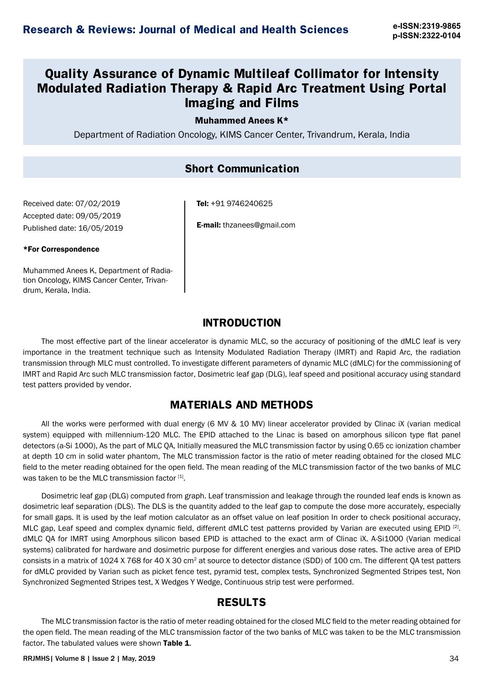# **Quality Assurance of Dynamic Multileaf Collimator for Intensity Modulated Radiation Therapy & Rapid Arc Treatment Using Portal Imaging and Films**

#### Muhammed Anees K\*

Department of Radiation Oncology, KIMS Cancer Center, Trivandrum, Kerala, India

#### **Short Communication**

Received date: 07/02/2019 Accepted date: 09/05/2019 Published date: 16/05/2019

#### \*For Correspondence

Muhammed Anees K, Department of Radiation Oncology, KIMS Cancer Center, Trivandrum, Kerala, India.

Tel: +91 9746240625

E-mail: thzanees@gmail.com

#### **INTRODUCTION**

The most effective part of the linear accelerator is dynamic MLC, so the accuracy of positioning of the dMLC leaf is very importance in the treatment technique such as Intensity Modulated Radiation Therapy (IMRT) and Rapid Arc, the radiation transmission through MLC must controlled. To investigate different parameters of dynamic MLC (dMLC) for the commissioning of IMRT and Rapid Arc such MLC transmission factor, Dosimetric leaf gap (DLG), leaf speed and positional accuracy using standard test patters provided by vendor.

## **MATERIALS AND METHODS**

All the works were performed with dual energy (6 MV & 10 MV) linear accelerator provided by Clinac iX (varian medical system) equipped with millennium-120 MLC. The EPID attached to the Linac is based on amorphous silicon type flat panel detectors (a-Si 1000), As the part of MLC QA, Initially measured the MLC transmission factor by using 0.65 cc ionization chamber at depth 10 cm in solid water phantom, The MLC transmission factor is the ratio of meter reading obtained for the closed MLC field to the meter reading obtained for the open field. The mean reading of the MLC transmission factor of the two banks of MLC was taken to be the MLC transmission factor  $[1]$ .

Dosimetric leaf gap (DLG) computed from graph. Leaf transmission and leakage through the rounded leaf ends is known as dosimetric leaf separation (DLS). The DLS is the quantity added to the leaf gap to compute the dose more accurately, especially for small gaps. It is used by the leaf motion calculator as an offset value on leaf position In order to check positional accuracy, MLC gap, Leaf speed and complex dynamic field, different dMLC test patterns provided by Varian are executed using EPID<sup>[2]</sup>. dMLC QA for IMRT using Amorphous silicon based EPID is attached to the exact arm of Clinac iX. A-Si1000 (Varian medical systems) calibrated for hardware and dosimetric purpose for different energies and various dose rates. The active area of EPID consists in a matrix of 1024 X 768 for 40 X 30 cm2 at source to detector distance (SDD) of 100 cm. The different QA test patters for dMLC provided by Varian such as picket fence test, pyramid test, complex tests, Synchronized Segmented Stripes test, Non Synchronized Segmented Stripes test, X Wedges Y Wedge, Continuous strip test were performed.

## **RESULTS**

The MLC transmission factor is the ratio of meter reading obtained for the closed MLC field to the meter reading obtained for the open field. The mean reading of the MLC transmission factor of the two banks of MLC was taken to be the MLC transmission factor. The tabulated values were shown Table 1.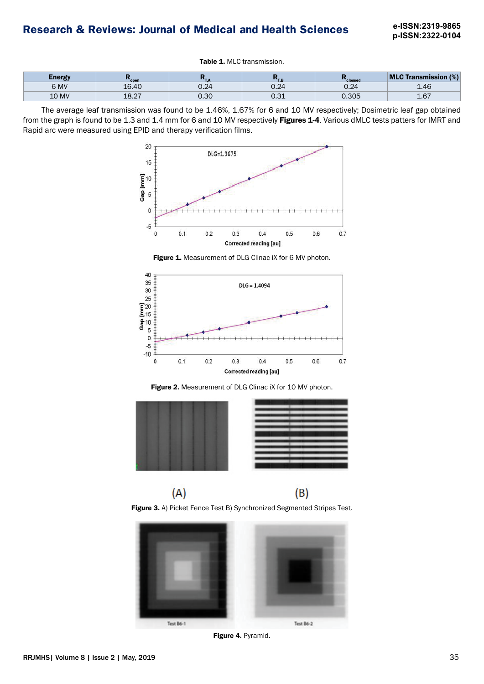# **Research & Reviews: Journal of Medical and Health Sciences e-ISSN:2319-9865**

**p-ISSN:2322-0104**

Table 1. MLC transmission.

| Energy       | <b>copen</b>  | . .<br>. | $\sim$<br>. . | clossed      | <b>MLC Transmission (%)</b> |
|--------------|---------------|----------|---------------|--------------|-----------------------------|
| 6 MV         | 16.40         | ◡.∠¬     | 0.24          | ⊿ר ∩<br>∪.∠4 | AC                          |
| <b>10 MV</b> | 0.07<br>10.ZI | 0.30     | ∪.∪⊥          | 0.305        | L.U                         |

The average leaf transmission was found to be 1.46%, 1.67% for 6 and 10 MV respectively; Dosimetric leaf gap obtained from the graph is found to be 1.3 and 1.4 mm for 6 and 10 MV respectively Figures 1-4. Various dMLC tests patters for IMRT and Rapid arc were measured using EPID and therapy verification films.



Figure 1. Measurement of DLG Clinac iX for 6 MV photon.



Figure 2. Measurement of DLG Clinac iX for 10 MV photon.



Figure 3. A) Picket Fence Test B) Synchronized Segmented Stripes Test.



Figure 4. Pyramid.